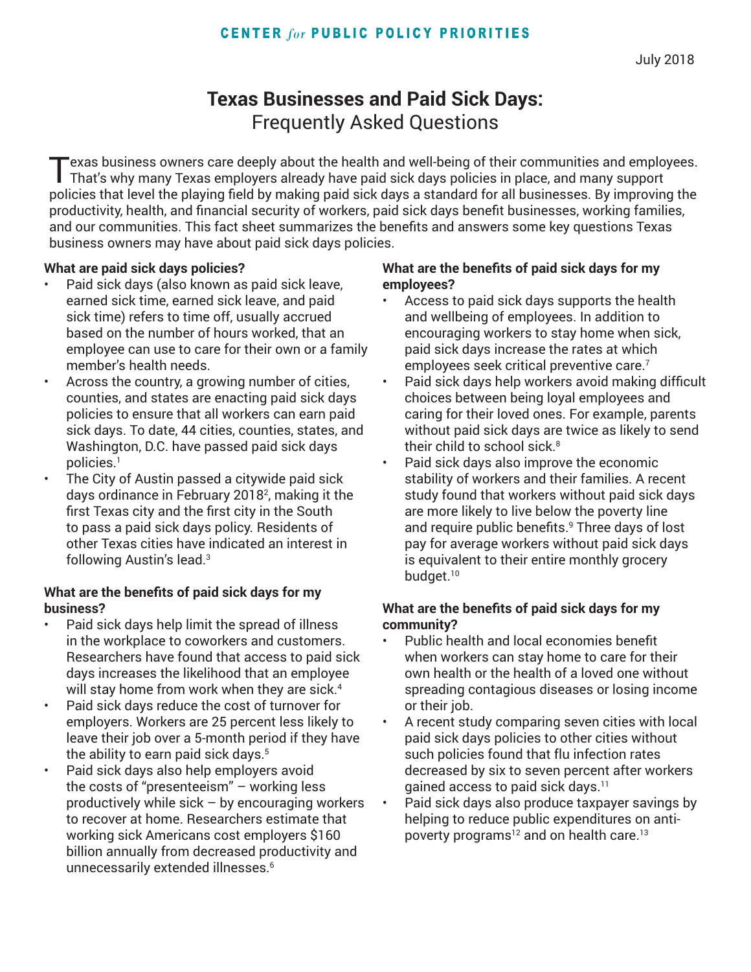# **Texas Businesses and Paid Sick Days:** Frequently Asked Questions

Texas business owners care deeply about the health and well-being of their communities and employees. That's why many Texas employers already have paid sick days policies in place, and many support policies that level the playing field by making paid sick days a standard for all businesses. By improving the productivity, health, and financial security of workers, paid sick days benefit businesses, working families, and our communities. This fact sheet summarizes the benefits and answers some key questions Texas business owners may have about paid sick days policies.

#### **What are paid sick days policies?**

- Paid sick days (also known as paid sick leave, earned sick time, earned sick leave, and paid sick time) refers to time off, usually accrued based on the number of hours worked, that an employee can use to care for their own or a family member's health needs.
- Across the country, a growing number of cities, counties, and states are enacting paid sick days policies to ensure that all workers can earn paid sick days. To date, 44 cities, counties, states, and Washington, D.C. have passed paid sick days policies.1
- The City of Austin passed a citywide paid sick days ordinance in February 20182 , making it the first Texas city and the first city in the South to pass a paid sick days policy. Residents of other Texas cities have indicated an interest in following Austin's lead.3

## **What are the benefits of paid sick days for my business?**

- Paid sick days help limit the spread of illness in the workplace to coworkers and customers. Researchers have found that access to paid sick days increases the likelihood that an employee will stay home from work when they are sick.<sup>4</sup>
- Paid sick days reduce the cost of turnover for employers. Workers are 25 percent less likely to leave their job over a 5-month period if they have the ability to earn paid sick days.<sup>5</sup>
	- Paid sick days also help employers avoid the costs of "presenteeism" – working less productively while sick  $-$  by encouraging workers to recover at home. Researchers estimate that working sick Americans cost employers \$160 billion annually from decreased productivity and unnecessarily extended illnesses.<sup>6</sup>

#### **What are the benefits of paid sick days for my employees?**

- Access to paid sick days supports the health and wellbeing of employees. In addition to encouraging workers to stay home when sick, paid sick days increase the rates at which employees seek critical preventive care.<sup>7</sup>
- Paid sick days help workers avoid making difficult choices between being loyal employees and caring for their loved ones. For example, parents without paid sick days are twice as likely to send their child to school sick. $^8$
- Paid sick days also improve the economic stability of workers and their families. A recent study found that workers without paid sick days are more likely to live below the poverty line and require public benefits.<sup>9</sup> Three days of lost pay for average workers without paid sick days is equivalent to their entire monthly grocery budget.<sup>10</sup>

#### **What are the benefits of paid sick days for my community?**

- Public health and local economies benefit when workers can stay home to care for their own health or the health of a loved one without spreading contagious diseases or losing income or their job.
- A recent study comparing seven cities with local paid sick days policies to other cities without such policies found that flu infection rates decreased by six to seven percent after workers gained access to paid sick days.<sup>11</sup>
- Paid sick days also produce taxpayer savings by helping to reduce public expenditures on antipoverty programs<sup>12</sup> and on health care.<sup>13</sup>